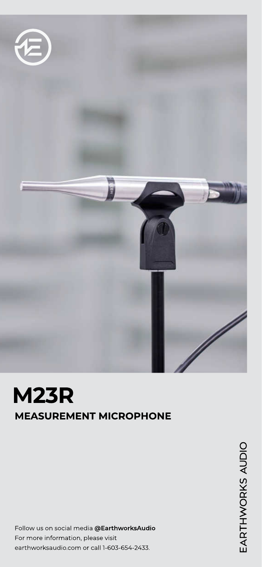

# M23R MEASUREMENT MICROPHONE

Follow us on social media @EarthworksAudio For more information, please visit earthworksaudio.com or call 1-603-654-2433.

EARTHWORKS AUDIO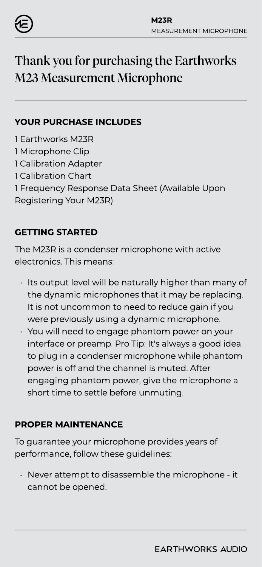

## Thank you for purchasing the Earthworks M23 Measurement Microphone

#### YOUR PURCHASE INCLUDES

- 1 Earthworks M23R
- 1 Microphone Clip
- 1 Calibration Adapter
- 1 Calibration Chart
- 1 Frequency Response Data Sheet (Available Upon
- Registering Your M23R)

## GETTING STARTED

The M23R is a condenser microphone with active electronics. This means:

- Its output level will be naturally higher than many of the dynamic microphones that it may be replacing. It is not uncommon to need to reduce gain if you were previously using a dynamic microphone.
- You will need to engage phantom power on your interface or preamp. Pro Tip: It's always a good idea to plug in a condenser microphone while phantom power is off and the channel is muted. After engaging phantom power, give the microphone a short time to settle before unmuting.

### PROPER MAINTENANCE

To guarantee your microphone provides years of performance, follow these guidelines:

Never attempt to disassemble the microphone - it cannot be opened.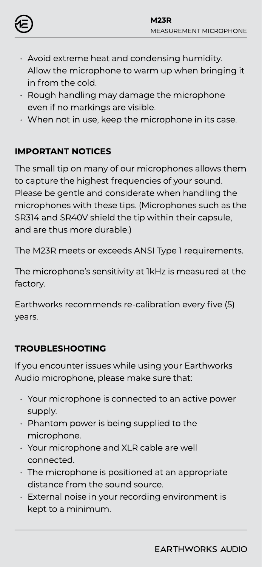

- $\cdot$  Avoid extreme heat and condensing humidity. Allow the microphone to warm up when bringing it in from the cold.
- Rough handling may damage the microphone even if no markings are visible.
- $\cdot$  When not in use, keep the microphone in its case.

## IMPORTANT NOTICES

The small tip on many of our microphones allows them to capture the highest frequencies of your sound. Please be gentle and considerate when handling the microphones with these tips. (Microphones such as the SR314 and SR40V shield the tip within their capsule, and are thus more durable.)

The M23R meets or exceeds ANSI Type 1 requirements.

The microphone's sensitivity at 1kHz is measured at the factory.

Earthworks recommends re-calibration every five (5) years.

## TROUBLESHOOTING

If you encounter issues while using your Earthworks Audio microphone, please make sure that

- $\cdot$  Your microphone is connected to an active power supply.
- **Phantom power is being supplied to the** microphone.
- $\cdot$  Your microphone and XLR cable are well connected.
- $\cdot$  The microphone is positioned at an appropriate distance from the sound source.
- $\cdot$  External noise in your recording environment is kept to a minimum.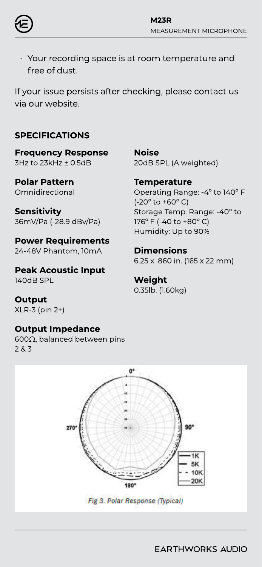

Your recording space is at room temperature and free of dust.

If your issue persists after checking, please contact us via our website.

#### SPECIFICATIONS

Frequency Response 3Hz to 23kHz ± 0.5dB

Polar Pattern **Omnidirectional** 

**Sensitivity** 36mV/Pa (-28.9 dBv/Pa)

Power Requirements 24-48V Phantom, 10mA

Peak Acoustic Input 140dB SPL

**Output** XLR-3 (pin 2+)

#### Output Impedance

600Ω, balanced between pins 2 & 3

Noise 20dB SPL (A weighted)

**Temperature** 

Operating Range: -4º to 140º F  $(-20^{\circ}$  to  $+60^{\circ}$  C) Storage Temp. Range: -40º to 176º F (-40 to +80º C) Humidity: Up to 90%

Dimensions

6.25 x .860 in. (165 x 22 mm)

Weight 0.35lb. (1.60kg)



Fig 3. Polar Response (Typical)